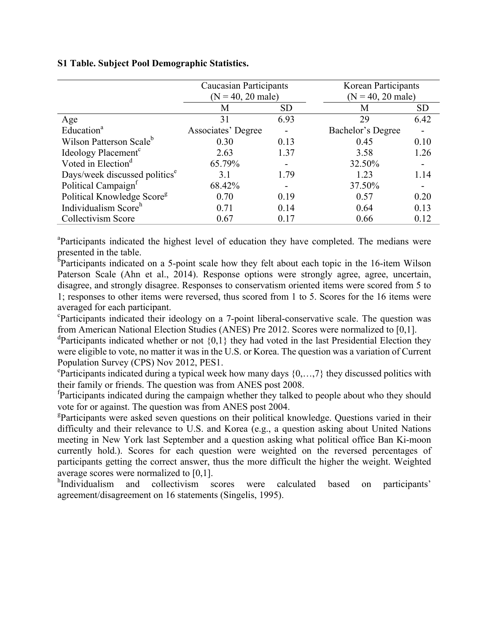## **S1 Table. Subject Pool Demographic Statistics.**

|                                           | <b>Caucasian Participants</b><br>$(N = 40, 20$ male) |           | <b>Korean Participants</b><br>$(N = 40, 20$ male) |                          |
|-------------------------------------------|------------------------------------------------------|-----------|---------------------------------------------------|--------------------------|
|                                           |                                                      |           |                                                   |                          |
|                                           | M                                                    | <b>SD</b> | M                                                 | <b>SD</b>                |
| Age                                       | 31                                                   | 6.93      | 29                                                | 6.42                     |
| Education <sup>a</sup>                    | Associates' Degree                                   |           | Bachelor's Degree                                 | $\overline{\phantom{0}}$ |
| Wilson Patterson Scale <sup>b</sup>       | 0.30                                                 | 0.13      | 0.45                                              | 0.10                     |
| Ideology Placement <sup>c</sup>           | 2.63                                                 | 1.37      | 3.58                                              | 1.26                     |
| Voted in Election <sup>d</sup>            | 65.79%                                               |           | 32.50%                                            |                          |
| Days/week discussed politics <sup>e</sup> | 31                                                   | 1.79      | 1.23                                              | 1.14                     |
| Political Campaign <sup>f</sup>           | 68.42%                                               |           | 37.50%                                            |                          |
| Political Knowledge Score <sup>g</sup>    | 0.70                                                 | 0.19      | 0.57                                              | 0.20                     |
| Individualism Score <sup>h</sup>          | 0.71                                                 | 0.14      | 0.64                                              | 0.13                     |
| Collectivism Score                        | 0.67                                                 | 0.17      | 0.66                                              | 0.12                     |

<sup>a</sup>Participants indicated the highest level of education they have completed. The medians were presented in the table.

<sup>b</sup>Participants indicated on a 5-point scale how they felt about each topic in the 16-item Wilson Paterson Scale (Ahn et al., 2014). Response options were strongly agree, agree, uncertain, disagree, and strongly disagree. Responses to conservatism oriented items were scored from 5 to 1; responses to other items were reversed, thus scored from 1 to 5. Scores for the 16 items were averaged for each participant.

c Participants indicated their ideology on a 7-point liberal-conservative scale. The question was from American National Election Studies (ANES) Pre 2012. Scores were normalized to [0,1].

<sup>d</sup>Participants indicated whether or not  $\{0,1\}$  they had voted in the last Presidential Election they were eligible to vote, no matter it was in the U.S. or Korea. The question was a variation of Current Population Survey (CPS) Nov 2012, PES1.

<sup>e</sup>Participants indicated during a typical week how many days {0,...,7} they discussed politics with their family or friends. The question was from ANES post 2008.

f Participants indicated during the campaign whether they talked to people about who they should vote for or against. The question was from ANES post 2004.

<sup>g</sup>Participants were asked seven questions on their political knowledge. Questions varied in their difficulty and their relevance to U.S. and Korea (e.g., a question asking about United Nations meeting in New York last September and a question asking what political office Ban Ki-moon currently hold.). Scores for each question were weighted on the reversed percentages of participants getting the correct answer, thus the more difficult the higher the weight. Weighted average scores were normalized to [0,1].

<sup>h</sup>Individualism and collectivism scores were calculated based on participants' agreement/disagreement on 16 statements (Singelis, 1995).